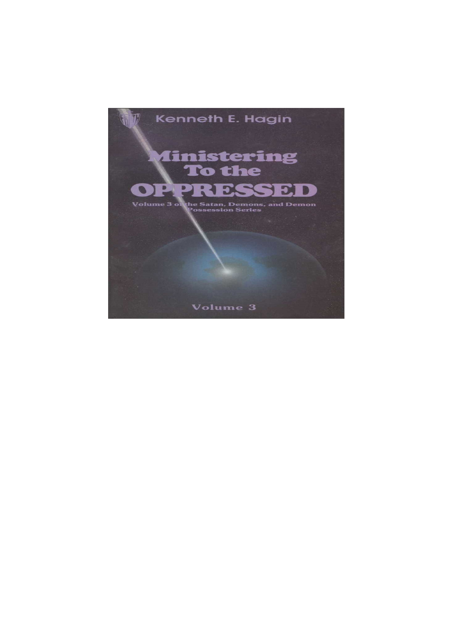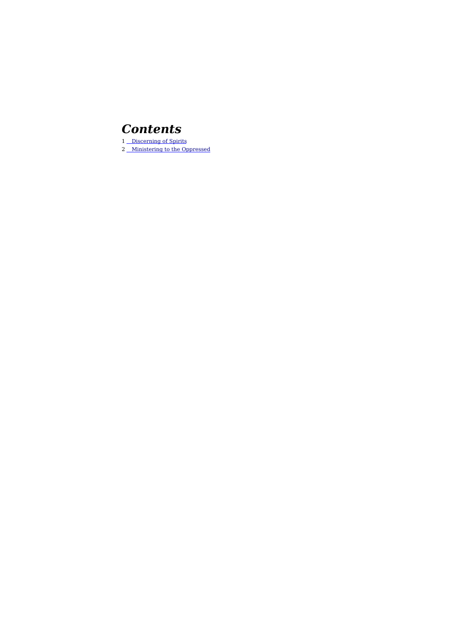# *Contents*

 Discerning of Spirits Ministering to the Oppressed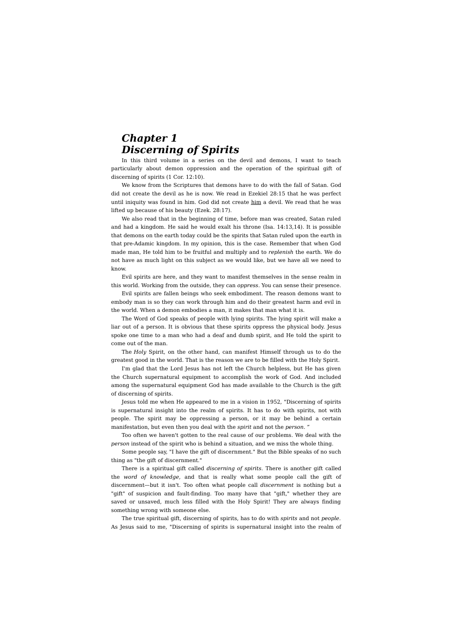# *Chapter 1 Discerning of Spirits*

In this third volume in a series on the devil and demons, I want to teach particularly about demon oppression and the operation of the spiritual gift of discerning of spirits (1 Cor. 12:10).

We know from the Scriptures that demons have to do with the fall of Satan. God did not create the devil as he is now. We read in Ezekiel 28:15 that he was perfect until iniquity was found in him. God did not create him a devil. We read that he was lifted up because of his beauty (Ezek. 28:17).

We also read that in the beginning of time, before man was created, Satan ruled and had a kingdom. He said he would exalt his throne (Isa. 14:13,14). It is possible that demons on the earth today could be the spirits that Satan ruled upon the earth in that pre-Adamic kingdom. In my opinion, this is the case. Remember that when God made man, He told him to be fruitful and multiply and to *replenish* the earth. We do not have as much light on this subject as we would like, but we have all we need to know.

Evil spirits are here, and they want to manifest themselves in the sense realm in this world. Working from the outside, they can *oppress.* You can sense their presence.

Evil spirits are fallen beings who seek embodiment. The reason demons want to embody man is so they can work through him and do their greatest harm and evil in the world. When a demon embodies a man, it makes that man what it is.

The Word of God speaks of people with lying spirits. The lying spirit will make a liar out of a person. It is obvious that these spirits oppress the physical body. Jesus spoke one time to a man who had a deaf and dumb spirit, and He told the spirit to come out of the man.

The *Holy* Spirit, on the other hand, can manifest Himself through us to do the greatest good in the world. That is the reason we are to be filled with the Holy Spirit.

I'm glad that the Lord Jesus has not left the Church helpless, but He has given the Church supernatural equipment to accomplish the work of God. And included among the supernatural equipment God has made available to the Church is the gift of discerning of spirits.

Jesus told me when He appeared to me in a vision in 1952, "Discerning of spirits is supernatural insight into the realm of spirits. It has to do with spirits, not with people. The spirit may be oppressing a person, or it may be behind a certain manifestation, but even then you deal with the *spirit* and not the *person. "*

Too often we haven't gotten to the real cause of our problems. We deal with the *person* instead of the spirit who is behind a situation, and we miss the whole thing.

Some people say, "I have the gift of discernment." But the Bible speaks of no such thing as "the gift of discernment."

There is a spiritual gift called *discerning of spirits.* There is another gift called the *word of knowledge,* and that is really what some people call the gift of discernment—but it isn't. Too often what people call *discernment* is nothing but a "gift" of suspicion and fault-finding. Too many have that "gift," whether they are saved or unsaved, much less filled with the Holy Spirit! They are always finding something wrong with someone else.

The true spiritual gift, discerning of spirits, has to do with *spirits* and not *people.* As Jesus said to me, "Discerning of spirits is supernatural insight into the realm of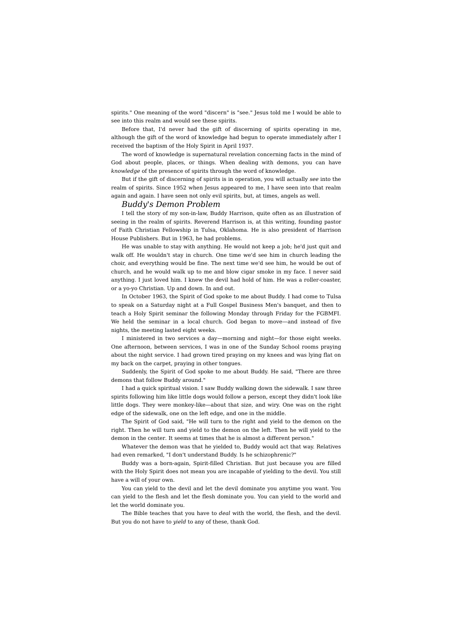spirits." One meaning of the word "discern" is "see." Jesus told me I would be able to see into this realm and would see these spirits.

Before that, I'd never had the gift of discerning of spirits operating in me, although the gift of the word of knowledge had begun to operate immediately after I received the baptism of the Holy Spirit in April 1937.

The word of knowledge is supernatural revelation concerning facts in the mind of God about people, places, or things. When dealing with demons, you can have *knowledge* of the presence of spirits through the word of knowledge.

But if the gift of discerning of spirits is in operation, you will actually *see* into the realm of spirits. Since 1952 when Jesus appeared to me, I have seen into that realm again and again. I have seen not only evil spirits, but, at times, angels as well.

### *Buddy's Demon Problem*

I tell the story of my son-in-law, Buddy Harrison, quite often as an illustration of seeing in the realm of spirits. Reverend Harrison is, at this writing, founding pastor of Faith Christian Fellowship in Tulsa, Oklahoma. He is also president of Harrison House Publishers. But in 1963, he had problems.

He was unable to stay with anything. He would not keep a job; he'd just quit and walk off. He wouldn't stay in church. One time we'd see him in church leading the choir, and everything would be fine. The next time we'd see him, he would be out of church, and he would walk up to me and blow cigar smoke in my face. I never said anything. I just loved him. I knew the devil had hold of him. He was a roller-coaster, or a yo-yo Christian. Up and down. In and out.

In October 1963, the Spirit of God spoke to me about Buddy. I had come to Tulsa to speak on a Saturday night at a Full Gospel Business Men's banquet, and then to teach a Holy Spirit seminar the following Monday through Friday for the FGBMFI. We held the seminar in a local church. God began to move—and instead of five nights, the meeting lasted eight weeks.

I ministered in two services a day—morning and night—for those eight weeks. One afternoon, between services, I was in one of the Sunday School rooms praying about the night service. I had grown tired praying on my knees and was lying flat on my back on the carpet, praying in other tongues.

Suddenly, the Spirit of God spoke to me about Buddy. He said, "There are three demons that follow Buddy around."

I had a quick spiritual vision. I saw Buddy walking down the sidewalk. I saw three spirits following him like little dogs would follow a person, except they didn't look like little dogs. They were monkey-like—about that size, and wiry. One was on the right edge of the sidewalk, one on the left edge, and one in the middle.

The Spirit of God said, "He will turn to the right and yield to the demon on the right. Then he will turn and yield to the demon on the left. Then he will yield to the demon in the center. It seems at times that he is almost a different person."

Whatever the demon was that he yielded to, Buddy would act that way. Relatives had even remarked, "I don't understand Buddy. Is he schizophrenic?"

Buddy was a born-again, Spirit-filled Christian. But just because you are filled with the Holy Spirit does not mean you are incapable of yielding to the devil. You still have a will of your own.

You can yield to the devil and let the devil dominate you anytime you want. You can yield to the flesh and let the flesh dominate you. You can yield to the world and let the world dominate you.

The Bible teaches that you have to *deal* with the world, the flesh, and the devil. But you do not have to *yield* to any of these, thank God.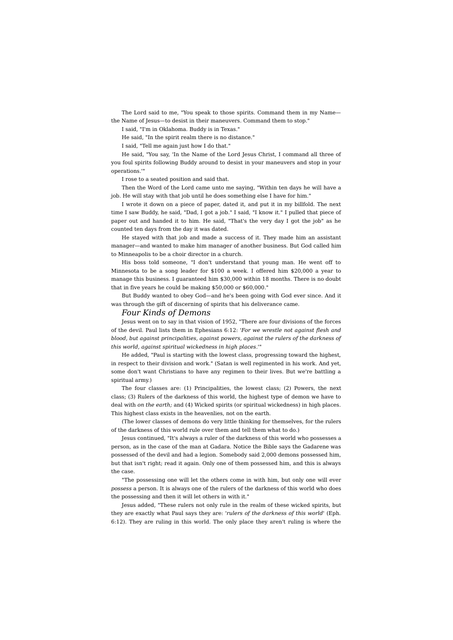The Lord said to me, "You speak to those spirits. Command them in my Name the Name of Jesus—to desist in their maneuvers. Command them to stop."

I said, "I'm in Oklahoma. Buddy is in Texas."

He said, "In the spirit realm there is no distance."

I said, "Tell me again just how I do that."

He said, "You say, 'In the Name of the Lord Jesus Christ, I command all three of you foul spirits following Buddy around to desist in your maneuvers and stop in your operations.'"

I rose to a seated position and said that.

Then the Word of the Lord came unto me saying, "Within ten days he will have a job. He will stay with that job until he does something else I have for him."

I wrote it down on a piece of paper, dated it, and put it in my billfold. The next time I saw Buddy, he said, "Dad, I got a job." I said, "I know it." I pulled that piece of paper out and handed it to him. He said, "That's the very day I got the job" as he counted ten days from the day it was dated.

He stayed with that job and made a success of it. They made him an assistant manager—and wanted to make him manager of another business. But God called him to Minneapolis to be a choir director in a church.

His boss told someone, "I don't understand that young man. He went off to Minnesota to be a song leader for \$100 a week. I offered him \$20,000 a year to manage this business. I guaranteed him \$30,000 within 18 months. There is no doubt that in five years he could be making \$50,000 or \$60,000."

But Buddy wanted to obey God—and he's been going with God ever since. And it was through the gift of discerning of spirits that his deliverance came.

### *Four Kinds of Demons*

Jesus went on to say in that vision of 1952, "There are four divisions of the forces of the devil. Paul lists them in Ephesians 6:12: *'For we wrestle not against flesh and blood, but against principalities, against powers, against the rulers of the darkness of this world, against spiritual wickedness in high places.'"*

He added, "Paul is starting with the lowest class, progressing toward the highest, in respect to their division and work." (Satan is well regimented in his work. And yet, some don't want Christians to have any regimen to their lives. But we're battling a spiritual army.)

The four classes are: (1) Principalities, the lowest class; (2) Powers, the next class; (3) Rulers of the darkness of this world, the highest type of demon we have to deal with *on the earth;* and (4) Wicked spirits (or spiritual wickedness) in high places. This highest class exists in the heavenlies, not on the earth.

(The lower classes of demons do very little thinking for themselves, for the rulers of the darkness of this world rule over them and tell them what to do.)

Jesus continued, "It's always a ruler of the darkness of this world who possesses a person, as in the case of the man at Gadara. Notice the Bible says the Gadarene was possessed of the devil and had a legion. Somebody said 2,000 demons possessed him, but that isn't right; read it again. Only one of them possessed him, and this is always the case.

"The possessing one will let the others come in with him, but only one will ever *possess* a person. It is always one of the rulers of the darkness of this world who does the possessing and then it will let others in with it."

Jesus added, "These rulers not only rule in the realm of these wicked spirits, but they are exactly what Paul says they are: *'rulers of the darkness of this world'* (Eph. 6:12). They are ruling in this world. The only place they aren't ruling is where the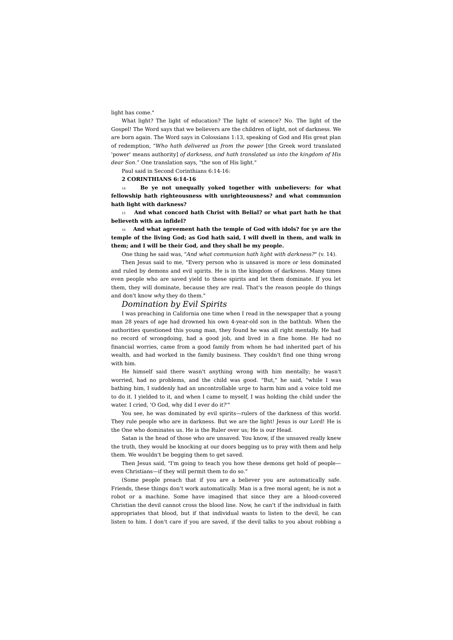light has come."

What light? The light of education? The light of science? No. The light of the Gospel! The Word says that we believers are the children of light, not of darkness. We are born again. The Word says in Colossians 1:13, speaking of God and His great plan of redemption, *"Who hath delivered us from the power* [the Greek word translated 'power' means authority] *of darkness, and hath translated us into the kingdom of His dear Son."* One translation says, "the son of His light."

Paul said in Second Corinthians 6:14-16:

### **2 CORINTHIANS 6:14-16**

<sup>14</sup> **Be ye not unequally yoked together with unbelievers: for what fellowship hath righteousness with unrighteousness? and what communion hath light with darkness?**

<sup>15</sup> **And what concord hath Christ with Belial? or what part hath he that believeth with an infidel?**

<sup>16</sup> **And what agreement hath the temple of God with idols? for ye are the temple of the living God; as God hath said, I will dwell in them, and walk in them; and I will be their God, and they shall be my people.**

One thing he said was, *"And what communion hath light with darkness?"* (v. 14).

Then Jesus said to me, "Every person who is unsaved is more or less dominated and ruled by demons and evil spirits. He is in the kingdom of darkness. Many times even people who are saved yield to these spirits and let them dominate. If you let them, they will dominate, because they are real. That's the reason people do things and don't know *why* they do them."

#### *Domination by Evil Spirits*

I was preaching in California one time when I read in the newspaper that a young man 28 years of age had drowned his own 4-year-old son in the bathtub. When the authorities questioned this young man, they found he was all right mentally. He had no record of wrongdoing, had a good job, and lived in a fine home. He had no financial worries, came from a good family from whom he had inherited part of his wealth, and had worked in the family business. They couldn't find one thing wrong with him.

He himself said there wasn't anything wrong with him mentally; he wasn't worried, had no problems, and the child was good. "But," he said, "while I was bathing him, I suddenly had an uncontrollable urge to harm him and a voice told me to do it. I yielded to it, and when I came to myself, I was holding the child under the water. I cried, 'O God, why did I ever do it?'"

You see, he was dominated by evil spirits—rulers of the darkness of this world. They rule people who are in darkness. But we are the light! Jesus is our Lord! He is the One who dominates us. He is the Ruler over us; He is our Head.

Satan is the head of those who are unsaved. You know, if the unsaved really knew the truth, they would be knocking at our doors begging us to pray with them and help them. We wouldn't be begging them to get saved.

Then Jesus said, "I'm going to teach you how these demons get hold of people even Christians—if they will permit them to do so."

(Some people preach that if you are a believer you are automatically safe. Friends, these things don't work automatically. Man is a free moral agent; he is not a robot or a machine. Some have imagined that since they are a blood-covered Christian the devil cannot cross the blood line. Now, he can't if the individual in faith appropriates that blood, but if that individual wants to listen to the devil, he can listen to him. I don't care if you are saved, if the devil talks to you about robbing a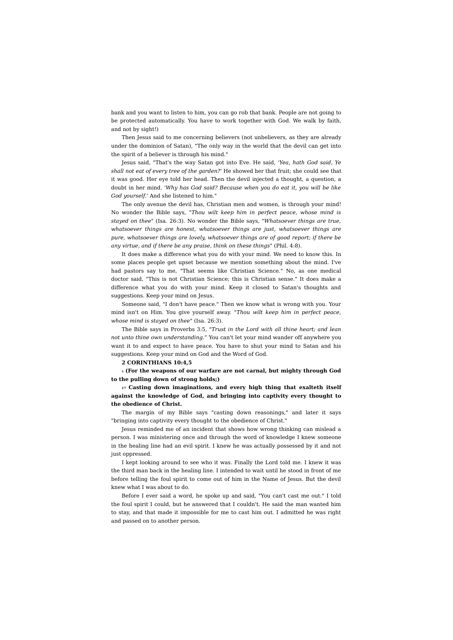bank and you want to listen to him, you can go rob that bank. People are not going to be protected automatically. You have to work together with God. We walk by faith, and not by sight!)

Then Jesus said to me concerning believers (not unbelievers, as they are already under the dominion of Satan), "The only way in the world that the devil can get into the spirit of a believer is through his mind."

Jesus said, "That's the way Satan got into Eve. He said, *'Yea, hath God said, Ye shall not eat of every tree of the garden?'* He showed her that fruit; she could see that it was good. Her eye told her head. Then the devil injected a thought, a question, a doubt in her mind. *'Why has God said? Because when you do eat it, you will be like God yourself.'* And she listened to him."

The only avenue the devil has, Christian men and women, is through your mind! No wonder the Bible says, *"Thou wilt keep him in perfect peace, whose mind is stayed on thee"* (Isa. 26:3). No wonder the Bible says, *"Whatsoever things are true, whatsoever things are honest, whatsoever things are just, whatsoever things are pure, whatsoever things are lovely, whatsoever things are of good report; if there be any virtue, and if there be any praise, think on these things"* (Phil. 4:8).

It does make a difference what you do with your mind. We need to know this. In some places people get upset because we mention something about the mind. I've had pastors say to me, "That seems like Christian Science." No, as one medical doctor said, "This is not Christian Science; this is Christian sense." It does make a difference what you do with your mind. Keep it closed to Satan's thoughts and suggestions. Keep your mind on Jesus.

Someone said, "I don't have peace." Then we know what is wrong with you. Your mind isn't on Him. You give yourself away. *"Thou wilt keep him in perfect peace, whose mind is stayed on thee"* (Isa. 26:3).

The Bible says in Proverbs 3:5, *"Trust in the Lord with all thine heart; and lean not unto thine own understanding."* You can't let your mind wander off anywhere you want it to and expect to have peace. You have to shut your mind to Satan and his suggestions. Keep your mind on God and the Word of God.

**2 CORINTHIANS 10:4,5**

<sup>4</sup> **(For the weapons of our warfare are not carnal, but mighty through God to the pulling down of strong holds;)**

**<sup>17</sup> Casting down imaginations, and every high thing that exalteth itself against the knowledge of God, and bringing into captivity every thought to the obedience of Christ.**

The margin of my Bible says "casting down reasonings," and later it says "bringing into captivity every thought to the obedience of Christ."

Jesus reminded me of an incident that shows how wrong thinking can mislead a person. I was ministering once and through the word of knowledge I knew someone in the healing line had an evil spirit. I knew he was actually possessed by it and not just oppressed.

I kept looking around to see who it was. Finally the Lord told me. I knew it was the third man back in the healing line. I intended to wait until he stood in front of me before telling the foul spirit to come out of him in the Name of Jesus. But the devil knew what I was about to do.

Before I ever said a word, he spoke up and said, "You can't cast me out." I told the foul spirit I could, but he answered that I couldn't. He said the man wanted him to stay, and that made it impossible for me to cast him out. I admitted he was right and passed on to another person.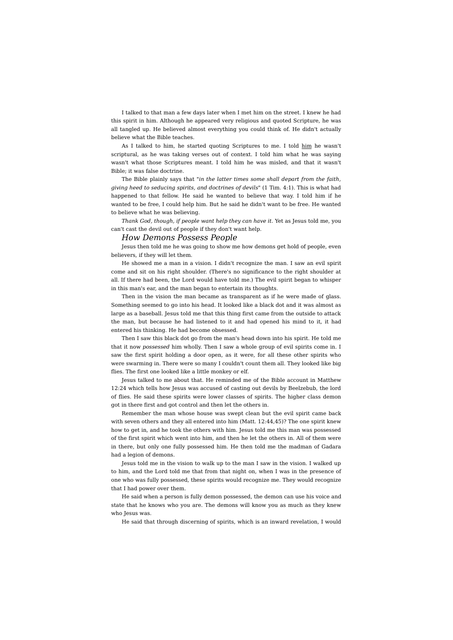I talked to that man a few days later when I met him on the street. I knew he had this spirit in him. Although he appeared very religious and quoted Scripture, he was all tangled up. He believed almost everything you could think of. He didn't actually believe what the Bible teaches.

As I talked to him, he started quoting Scriptures to me. I told him he wasn't scriptural, as he was taking verses out of context. I told him what he was saying wasn't what those Scriptures meant. I told him he was misled, and that it wasn't Bible; it was false doctrine.

The Bible plainly says that *"in the latter times some shall depart from the faith, giving heed to seducing spirits, and doctrines of devils"* (1 Tim. 4:1). This is what had happened to that fellow. He said he wanted to believe that way. I told him if he wanted to be free, I could help him. But he said he didn't want to be free. He wanted to believe what he was believing.

*Thank God, though, if people want help they can have it.* Yet as Jesus told me, you can't cast the devil out of people if they don't want help.

### *How Demons Possess People*

Jesus then told me he was going to show me how demons get hold of people, even believers, if they will let them.

He showed me a man in a vision. I didn't recognize the man. I saw an evil spirit come and sit on his right shoulder. (There's no significance to the right shoulder at all. If there had been, the Lord would have told me.) The evil spirit began to whisper in this man's ear, and the man began to entertain its thoughts.

Then in the vision the man became as transparent as if he were made of glass. Something seemed to go into his head. It looked like a black dot and it was almost as large as a baseball. Jesus told me that this thing first came from the outside to attack the man, but because he had listened to it and had opened his mind to it, it had entered his thinking. He had become obsessed.

Then I saw this black dot go from the man's head down into his spirit. He told me that it now *possessed* him wholly. Then I saw a whole group of evil spirits come in. I saw the first spirit holding a door open, as it were, for all these other spirits who were swarming in. There were so many I couldn't count them all. They looked like big flies. The first one looked like a little monkey or elf.

Jesus talked to me about that. He reminded me of the Bible account in Matthew 12:24 which tells how Jesus was accused of casting out devils by Beelzebub, the lord of flies. He said these spirits were lower classes of spirits. The higher class demon got in there first and got control and then let the others in.

Remember the man whose house was swept clean but the evil spirit came back with seven others and they all entered into him (Matt. 12:44,45)? The one spirit knew how to get in, and he took the others with him. Jesus told me this man was possessed of the first spirit which went into him, and then he let the others in. All of them were in there, but only one fully possessed him. He then told me the madman of Gadara had a legion of demons.

Jesus told me in the vision to walk up to the man I saw in the vision. I walked up to him, and the Lord told me that from that night on, when I was in the presence of one who was fully possessed, these spirits would recognize me. They would recognize that I had power over them.

He said when a person is fully demon possessed, the demon can use his voice and state that he knows who you are. The demons will know you as much as they knew who Jesus was.

He said that through discerning of spirits, which is an inward revelation, I would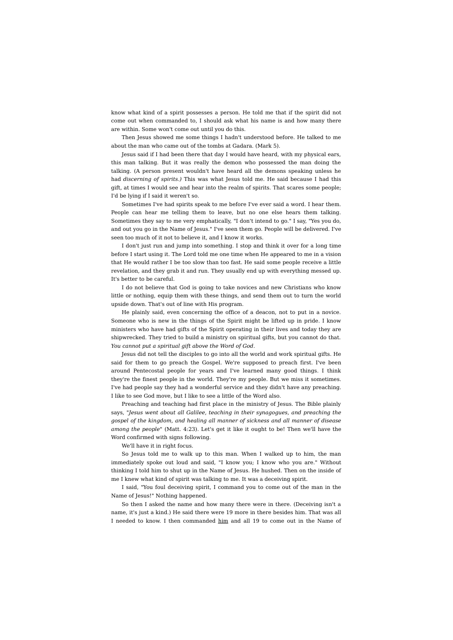know what kind of a spirit possesses a person. He told me that if the spirit did not come out when commanded to, I should ask what his name is and how many there are within. Some won't come out until you do this.

Then Jesus showed me some things I hadn't understood before. He talked to me about the man who came out of the tombs at Gadara. (Mark 5).

Jesus said if I had been there that day I would have heard, with my physical ears, this man talking. But it was really the demon who possessed the man doing the talking. (A person present wouldn't have heard all the demons speaking unless he had *discerning of spirits.)* This was what Jesus told me. He said because I had this gift, at times I would see and hear into the realm of spirits. That scares some people; I'd be lying if I said it weren't so.

Sometimes I've had spirits speak to me before I've ever said a word. I hear them. People can hear me telling them to leave, but no one else hears them talking. Sometimes they say to me very emphatically, "I don't intend to go." I say, "Yes you do, and out you go in the Name of Jesus." I've seen them go. People will be delivered. I've seen too much of it not to believe it, and I know it works.

I don't just run and jump into something. I stop and think it over for a long time before I start using it. The Lord told me one time when He appeared to me in a vision that He would rather I be too slow than too fast. He said some people receive a little revelation, and they grab it and run. They usually end up with everything messed up. It's better to be careful.

I do not believe that God is going to take novices and new Christians who know little or nothing, equip them with these things, and send them out to turn the world upside down. That's out of line with His program.

He plainly said, even concerning the office of a deacon, not to put in a novice. Someone who is new in the things of the Spirit might be lifted up in pride. I know ministers who have had gifts of the Spirit operating in their lives and today they are shipwrecked. They tried to build a ministry on spiritual gifts, but you cannot do that. *You cannot put a spiritual gift above the Word of God.*

Jesus did not tell the disciples to go into all the world and work spiritual gifts. He said for them to go preach the Gospel. We're supposed to preach first. I've been around Pentecostal people for years and I've learned many good things. I think they're the finest people in the world. They're my people. But we miss it sometimes. I've had people say they had a wonderful service and they didn't have any preaching. I like to see God move, but I like to see a little of the Word also.

Preaching and teaching had first place in the ministry of Jesus. The Bible plainly says, *"Jesus went about all Galilee, teaching in their synagogues, and preaching the gospel of the kingdom, and healing all manner of sickness and all manner of disease among the people"* (Matt. 4:23). Let's get it like it ought to be! Then we'll have the Word confirmed with signs following.

We'll have it in right focus.

So Jesus told me to walk up to this man. When I walked up to him, the man immediately spoke out loud and said, "I know you; I know who you are." Without thinking I told him to shut up in the Name of Jesus. He hushed. Then on the inside of me I knew what kind of spirit was talking to me. It was a deceiving spirit.

I said, "You foul deceiving spirit, I command you to come out of the man in the Name of Jesus!" Nothing happened.

So then I asked the name and how many there were in there. (Deceiving isn't a name, it's just a kind.) He said there were 19 more in there besides him. That was all I needed to know. I then commanded him and all 19 to come out in the Name of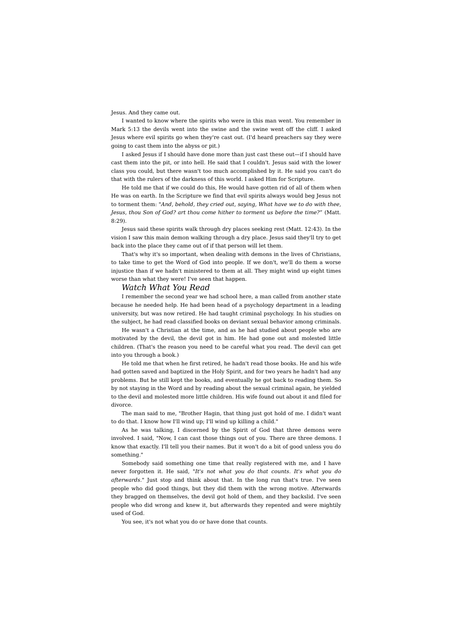Jesus. And they came out.

I wanted to know where the spirits who were in this man went. You remember in Mark 5:13 the devils went into the swine and the swine went off the cliff. I asked Jesus where evil spirits go when they're cast out. (I'd heard preachers say they were going to cast them into the abyss or pit.)

I asked Jesus if I should have done more than just cast these out—if I should have cast them into the pit, or into hell. He said that I couldn't. Jesus said with the lower class you could, but there wasn't too much accomplished by it. He said you can't do that with the rulers of the darkness of this world. I asked Him for Scripture.

He told me that if we could do this, He would have gotten rid of all of them when He was on earth. In the Scripture we find that evil spirits always would beg Jesus not to torment them: *"And, behold, they cried out, saying, What have we to do with thee, Jesus, thou Son of God? art thou come hither to torment us before the time?"* (Matt. 8:29).

Jesus said these spirits walk through dry places seeking rest (Matt. 12:43). In the vision I saw this main demon walking through a dry place. Jesus said they'll try to get back into the place they came out of if that person will let them.

That's why it's so important, when dealing with demons in the lives of Christians, to take time to get the Word of God into people. If we don't, we'll do them a worse injustice than if we hadn't ministered to them at all. They might wind up eight times worse than what they were! I've seen that happen.

#### *Watch What You Read*

I remember the second year we had school here, a man called from another state because he needed help. He had been head of a psychology department in a leading university, but was now retired. He had taught criminal psychology. In his studies on the subject, he had read classified books on deviant sexual behavior among criminals.

He wasn't a Christian at the time, and as he had studied about people who are motivated by the devil, the devil got in him. He had gone out and molested little children. (That's the reason you need to be careful what you read. The devil can get into you through a book.)

He told me that when he first retired, he hadn't read those books. He and his wife had gotten saved and baptized in the Holy Spirit, and for two years he hadn't had any problems. But he still kept the books, and eventually he got back to reading them. So by not staying in the Word and by reading about the sexual criminal again, he yielded to the devil and molested more little children. His wife found out about it and filed for divorce.

The man said to me, "Brother Hagin, that thing just got hold of me. I didn't want to do that. I know how I'll wind up; I'll wind up killing a child."

As he was talking, I discerned by the Spirit of God that three demons were involved. I said, "Now, I can cast those things out of you. There are three demons. I know that exactly. I'll tell you their names. But it won't do a bit of good unless you do something."

Somebody said something one time that really registered with me, and I have never forgotten it. He said, *"It's not what you do that counts. It's what you do afterwards."* Just stop and think about that. In the long run that's true. I've seen people who did good things, but they did them with the wrong motive. Afterwards they bragged on themselves, the devil got hold of them, and they backslid. I've seen people who did wrong and knew it, but afterwards they repented and were mightily used of God.

You see, it's not what you do or have done that counts.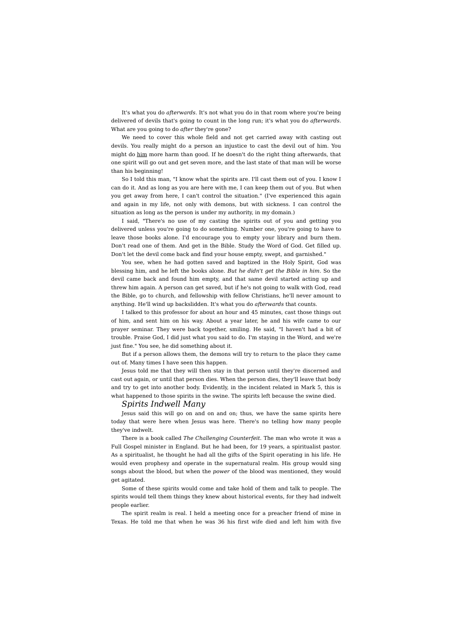It's what you do *afterwards.* It's not what you do in that room where you're being delivered of devils that's going to count in the long run; it's what you do *afterwards.* What are you going to do *after* they're gone?

We need to cover this whole field and not get carried away with casting out devils. You really might do a person an injustice to cast the devil out of him. You might do him more harm than good. If he doesn't do the right thing afterwards, that one spirit will go out and get seven more, and the last state of that man will be worse than his beginning!

So I told this man, "I know what the spirits are. I'll cast them out of you. I know I can do it. And as long as you are here with me, I can keep them out of you. But when you get away from here, I can't control the situation." (I've experienced this again and again in my life, not only with demons, but with sickness. I can control the situation as long as the person is under my authority, in my domain.)

I said, "There's no use of my casting the spirits out of you and getting you delivered unless you're going to do something. Number one, you're going to have to leave those books alone. I'd encourage you to empty your library and burn them. Don't read one of them. And get in the Bible. Study the Word of God. Get filled up. Don't let the devil come back and find your house empty, swept, and garnished."

You see, when he had gotten saved and baptized in the Holy Spirit, God was blessing him, and he left the books alone. *But he didn't get the Bible in him.* So the devil came back and found him empty, and that same devil started acting up and threw him again. A person can get saved, but if he's not going to walk with God, read the Bible, go to church, and fellowship with fellow Christians, he'll never amount to anything. He'll wind up backslidden. It's what you do *afterwards* that counts.

I talked to this professor for about an hour and 45 minutes, cast those things out of him, and sent him on his way. About a year later, he and his wife came to our prayer seminar. They were back together, smiling. He said, "I haven't had a bit of trouble. Praise God, I did just what you said to do. I'm staying in the Word, and we're just fine." You see, he did something about it.

But if a person allows them, the demons will try to return to the place they came out of. Many times I have seen this happen.

Jesus told me that they will then stay in that person until they're discerned and cast out again, or until that person dies. When the person dies, they'll leave that body and try to get into another body. Evidently, in the incident related in Mark 5, this is what happened to those spirits in the swine. The spirits left because the swine died.

#### *Spirits Indwell Many*

Jesus said this will go on and on and on; thus, we have the same spirits here today that were here when Jesus was here. There's no telling how many people they've indwelt.

There is a book called *The Challenging Counterfeit.* The man who wrote it was a Full Gospel minister in England. But he had been, for 19 years, a spiritualist pastor. As a spiritualist, he thought he had all the gifts of the Spirit operating in his life. He would even prophesy and operate in the supernatural realm. His group would sing songs about the blood, but when the *power* of the blood was mentioned, they would get agitated.

Some of these spirits would come and take hold of them and talk to people. The spirits would tell them things they knew about historical events, for they had indwelt people earlier.

The spirit realm is real. I held a meeting once for a preacher friend of mine in Texas. He told me that when he was 36 his first wife died and left him with five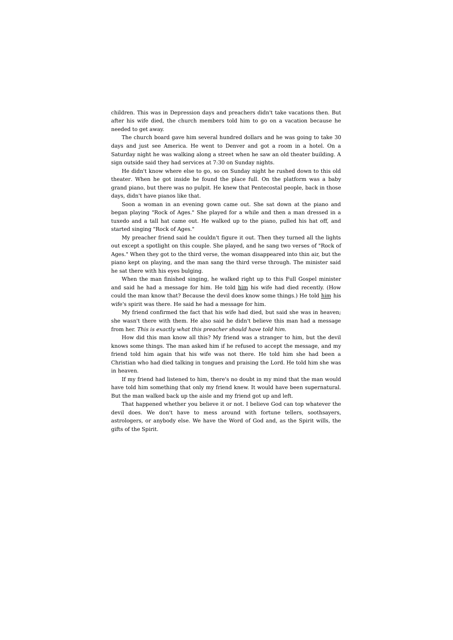children. This was in Depression days and preachers didn't take vacations then. But after his wife died, the church members told him to go on a vacation because he needed to get away.

The church board gave him several hundred dollars and he was going to take 30 days and just see America. He went to Denver and got a room in a hotel. On a Saturday night he was walking along a street when he saw an old theater building. A sign outside said they had services at 7:30 on Sunday nights.

He didn't know where else to go, so on Sunday night he rushed down to this old theater. When he got inside he found the place full. On the platform was a baby grand piano, but there was no pulpit. He knew that Pentecostal people, back in those days, didn't have pianos like that.

Soon a woman in an evening gown came out. She sat down at the piano and began playing "Rock of Ages." She played for a while and then a man dressed in a tuxedo and a tall hat came out. He walked up to the piano, pulled his hat off, and started singing "Rock of Ages."

My preacher friend said he couldn't figure it out. Then they turned all the lights out except a spotlight on this couple. She played, and he sang two verses of "Rock of Ages." When they got to the third verse, the woman disappeared into thin air, but the piano kept on playing, and the man sang the third verse through. The minister said he sat there with his eyes bulging.

When the man finished singing, he walked right up to this Full Gospel minister and said he had a message for him. He told him his wife had died recently. (How could the man know that? Because the devil does know some things.) He told him his wife's spirit was there. He said he had a message for him.

My friend confirmed the fact that his wife had died, but said she was in heaven; she wasn't there with them. He also said he didn't believe this man had a message from her. *This is exactly what this preacher should have told him.*

How did this man know all this? My friend was a stranger to him, but the devil knows some things. The man asked him if he refused to accept the message, and my friend told him again that his wife was not there. He told him she had been a Christian who had died talking in tongues and praising the Lord. He told him she was in heaven.

If my friend had listened to him, there's no doubt in my mind that the man would have told him something that only my friend knew. It would have been supernatural. But the man walked back up the aisle and my friend got up and left.

That happened whether you believe it or not. I believe God can top whatever the devil does. We don't have to mess around with fortune tellers, soothsayers, astrologers, or anybody else. We have the Word of God and, as the Spirit wills, the gifts of the Spirit.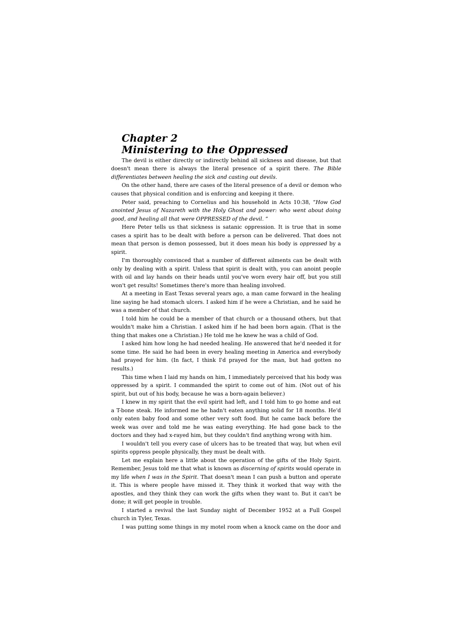# *Chapter 2 Ministering to the Oppressed*

The devil is either directly or indirectly behind all sickness and disease, but that doesn't mean there is always the literal presence of a spirit there. *The Bible differentiates between healing the sick and casting out devils.*

On the other hand, there are cases of the literal presence of a devil or demon who causes that physical condition and is enforcing and keeping it there.

Peter said, preaching to Cornelius and his household in Acts 10:38, "*How God anointed Jesus of Nazareth with the Holy Ghost and power: who went about doing good, and healing all that were OPPRESSED of the devil. "*

Here Peter tells us that sickness is satanic oppression. It is true that in some cases a spirit has to be dealt with before a person can be delivered. That does not mean that person is demon possessed, but it does mean his body is *oppressed* by a spirit.

I'm thoroughly convinced that a number of different ailments can be dealt with only by dealing with a spirit. Unless that spirit is dealt with, you can anoint people with oil and lay hands on their heads until you've worn every hair off, but you still won't get results! Sometimes there's more than healing involved.

At a meeting in East Texas several years ago, a man came forward in the healing line saying he had stomach ulcers. I asked him if he were a Christian, and he said he was a member of that church.

I told him he could be a member of that church or a thousand others, but that wouldn't make him a Christian. I asked him if he had been born again. (That is the thing that makes one a Christian.) He told me he knew he was a child of God.

I asked him how long he had needed healing. He answered that he'd needed it for some time. He said he had been in every healing meeting in America and everybody had prayed for him. (In fact, I think I'd prayed for the man, but had gotten no results.)

This time when I laid my hands on him, I immediately perceived that his body was oppressed by a spirit. I commanded the spirit to come out of him. (Not out of his spirit, but out of his body, because he was a born-again believer.)

I knew in my spirit that the evil spirit had left, and I told him to go home and eat a T-bone steak. He informed me he hadn't eaten anything solid for 18 months. He'd only eaten baby food and some other very soft food. But he came back before the week was over and told me he was eating everything. He had gone back to the doctors and they had x-rayed him, but they couldn't find anything wrong with him.

I wouldn't tell you every case of ulcers has to be treated that way, but when evil spirits oppress people physically, they must be dealt with.

Let me explain here a little about the operation of the gifts of the Holy Spirit. Remember, Jesus told me that what is known as *discerning of spirits* would operate in my life *when I was in the Spirit.* That doesn't mean I can push a button and operate it. This is where people have missed it. They think it worked that way with the apostles, and they think they can work the gifts when they want to. But it can't be done; it will get people in trouble.

I started a revival the last Sunday night of December 1952 at a Full Gospel church in Tyler, Texas.

I was putting some things in my motel room when a knock came on the door and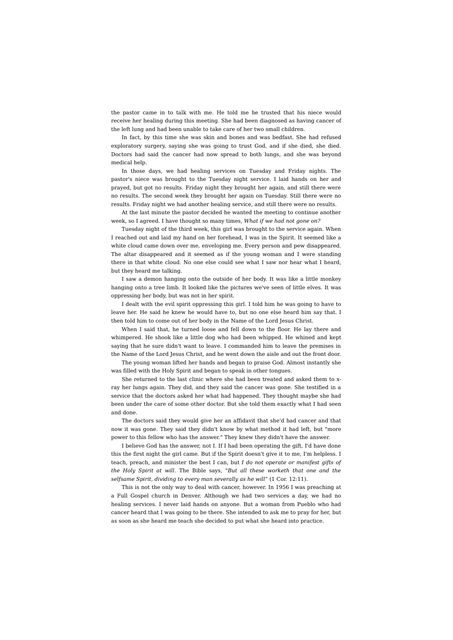the pastor came in to talk with me. He told me he trusted that his niece would receive her healing during this meeting. She had been diagnosed as having cancer of the left lung and had been unable to take care of her two small children.

In fact, by this time she was skin and bones and was bedfast. She had refused exploratory surgery, saying she was going to trust God, and if she died, she died. Doctors had said the cancer had now spread to both lungs, and she was beyond medical help.

In those days, we had healing services on Tuesday and Friday nights. The pastor's niece was brought to the Tuesday night service. I laid hands on her and prayed, but got no results. Friday night they brought her again, and still there were no results. The second week they brought her again on Tuesday. Still there were no results. Friday night we had another healing service, and still there were no results.

At the last minute the pastor decided he wanted the meeting to continue another week, so I agreed. I have thought so many times, *What if we had not gone on?*

Tuesday night of the third week, this girl was brought to the service again. When I reached out and laid my hand on her forehead, I was in the Spirit. It seemed like a white cloud came down over me, enveloping me. Every person and pew disappeared. The altar disappeared and it seemed as if the young woman and I were standing there in that white cloud. No one else could see what I saw nor hear what I heard, but they heard me talking.

I saw a demon hanging onto the outside of her body. It was like a little monkey hanging onto a tree limb. It looked like the pictures we've seen of little elves. It was oppressing her body, but was not in her spirit.

I dealt with the evil spirit oppressing this girl. I told him he was going to have to leave her. He said he knew he would have to, but no one else heard him say that. I then told him to come out of her body in the Name of the Lord Jesus Christ.

When I said that, he turned loose and fell down to the floor. He lay there and whimpered. He shook like a little dog who had been whipped. He whined and kept saying that he sure didn't want to leave. I commanded him to leave the premises in the Name of the Lord Jesus Christ, and he went down the aisle and out the front door.

The young woman lifted her hands and began to praise God. Almost instantly she was filled with the Holy Spirit and began to speak in other tongues.

She returned to the last clinic where she had been treated and asked them to xray her lungs again. They did, and they said the cancer was gone. She testified in a service that the doctors asked her what had happened. They thought maybe she had been under the care of some other doctor. But she told them exactly what I had seen and done.

The doctors said they would give her an affidavit that she'd had cancer and that now it was gone. They said they didn't know by what method it had left, but "more power to this fellow who has the answer." They knew they didn't have the answer.

I believe God has the answer, not I. If I had been operating the gift, I'd have done this the first night the girl came. But if the Spirit doesn't give it to me, I'm helpless. I teach, preach, and minister the best I can, but *I do not operate or manifest gifts of the Holy Spirit at will.* The Bible says, *"But all these worketh that one and the selfsame Spirit, dividing to every man severally as he will"* (1 Cor. 12:11).

This is not the only way to deal with cancer, however. In 1956 I was preaching at a Full Gospel church in Denver. Although we had two services a day, we had no healing services. I never laid hands on anyone. But a woman from Pueblo who had cancer heard that I was going to be there. She intended to ask me to pray for her, but as soon as she heard me teach she decided to put what she heard into practice.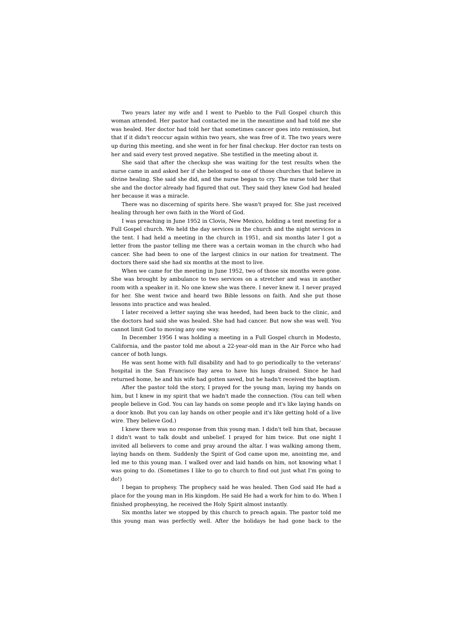Two years later my wife and I went to Pueblo to the Full Gospel church this woman attended. Her pastor had contacted me in the meantime and had told me she was healed. Her doctor had told her that sometimes cancer goes into remission, but that if it didn't reoccur again within two years, she was free of it. The two years were up during this meeting, and she went in for her final checkup. Her doctor ran tests on her and said every test proved negative. She testified in the meeting about it.

She said that after the checkup she was waiting for the test results when the nurse came in and asked her if she belonged to one of those churches that believe in divine healing. She said she did, and the nurse began to cry. The nurse told her that she and the doctor already had figured that out. They said they knew God had healed her because it was a miracle.

There was no discerning of spirits here. She wasn't prayed for. She just received healing through her own faith in the Word of God.

I was preaching in June 1952 in Clovis, New Mexico, holding a tent meeting for a Full Gospel church. We held the day services in the church and the night services in the tent. I had held a meeting in the church in 1951, and six months later I got a letter from the pastor telling me there was a certain woman in the church who had cancer. She had been to one of the largest clinics in our nation for treatment. The doctors there said she had six months at the most to live.

When we came for the meeting in June 1952, two of those six months were gone. She was brought by ambulance to two services on a stretcher and was in another room with a speaker in it. No one knew she was there. I never knew it. I never prayed for her. She went twice and heard two Bible lessons on faith. And she put those lessons into practice and was healed.

I later received a letter saying she was heeded, had been back to the clinic, and the doctors had said she was healed. She had had cancer. But now she was well. You cannot limit God to moving any one way.

In December 1956 I was holding a meeting in a Full Gospel church in Modesto, California, and the pastor told me about a 22-year-old man in the Air Force who had cancer of both lungs.

He was sent home with full disability and had to go periodically to the veterans' hospital in the San Francisco Bay area to have his lungs drained. Since he had returned home, he and his wife had gotten saved, but he hadn't received the baptism.

After the pastor told the story, I prayed for the young man, laying my hands on him, but I knew in my spirit that we hadn't made the connection. (You can tell when people believe in God. You can lay hands on some people and it's like laying hands on a door knob. But you can lay hands on other people and it's like getting hold of a live wire. They believe God.)

I knew there was no response from this young man. I didn't tell him that, because I didn't want to talk doubt and unbelief. I prayed for him twice. But one night I invited all believers to come and pray around the altar. I was walking among them, laying hands on them. Suddenly the Spirit of God came upon me, anointing me, and led me to this young man. I walked over and laid hands on him, not knowing what I was going to do. (Sometimes I like to go to church to find out just what I'm going to do!)

I began to prophesy. The prophecy said he was healed. Then God said He had a place for the young man in His kingdom. He said He had a work for him to do. When I finished prophesying, he received the Holy Spirit almost instantly.

Six months later we stopped by this church to preach again. The pastor told me this young man was perfectly well. After the holidays he had gone back to the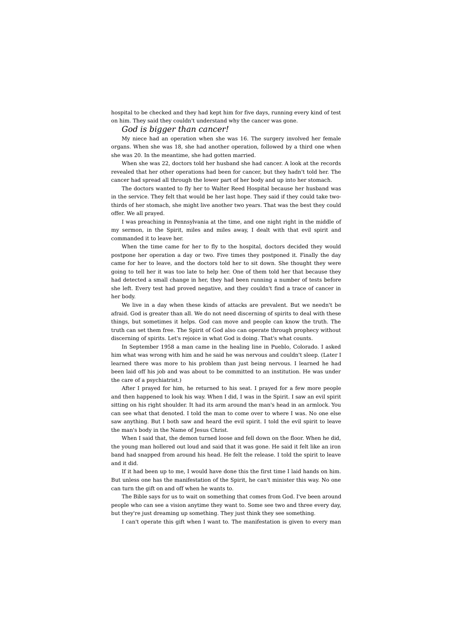hospital to be checked and they had kept him for five days, running every kind of test on him. They said they couldn't understand why the cancer was gone.

## *God is bigger than cancer!*

My niece had an operation when she was 16. The surgery involved her female organs. When she was 18, she had another operation, followed by a third one when she was 20. In the meantime, she had gotten married.

When she was 22, doctors told her husband she had cancer. A look at the records revealed that her other operations had been for cancer, but they hadn't told her. The cancer had spread all through the lower part of her body and up into her stomach.

The doctors wanted to fly her to Walter Reed Hospital because her husband was in the service. They felt that would be her last hope. They said if they could take twothirds of her stomach, she might live another two years. That was the best they could offer. We all prayed.

I was preaching in Pennsylvania at the time, and one night right in the middle of my sermon, in the Spirit, miles and miles away, I dealt with that evil spirit and commanded it to leave her.

When the time came for her to fly to the hospital, doctors decided they would postpone her operation a day or two. Five times they postponed it. Finally the day came for her to leave, and the doctors told her to sit down. She thought they were going to tell her it was too late to help her. One of them told her that because they had detected a small change in her, they had been running a number of tests before she left. Every test had proved negative, and they couldn't find a trace of cancer in her body.

We live in a day when these kinds of attacks are prevalent. But we needn't be afraid. God is greater than all. We do not need discerning of spirits to deal with these things, but sometimes it helps. God can move and people can know the truth. The truth can set them free. The Spirit of God also can operate through prophecy without discerning of spirits. Let's rejoice in what God is doing. That's what counts.

In September 1958 a man came in the healing line in Pueblo, Colorado. I asked him what was wrong with him and he said he was nervous and couldn't sleep. (Later I learned there was more to his problem than just being nervous. I learned he had been laid off his job and was about to be committed to an institution. He was under the care of a psychiatrist.)

After I prayed for him, he returned to his seat. I prayed for a few more people and then happened to look his way. When I did, I was in the Spirit. I saw an evil spirit sitting on his right shoulder. It had its arm around the man's head in an armlock. You can see what that denoted. I told the man to come over to where I was. No one else saw anything. But I both saw and heard the evil spirit. I told the evil spirit to leave the man's body in the Name of Jesus Christ.

When I said that, the demon turned loose and fell down on the floor. When he did, the young man hollered out loud and said that it was gone. He said it felt like an iron band had snapped from around his head. He felt the release. I told the spirit to leave and it did.

If it had been up to me, I would have done this the first time I laid hands on him. But unless one has the manifestation of the Spirit, he can't minister this way. No one can turn the gift on and off when he wants to.

The Bible says for us to wait on something that comes from God. I've been around people who can see a vision anytime they want to. Some see two and three every day, but they're just dreaming up something. They just think they see something.

I can't operate this gift when I want to. The manifestation is given to every man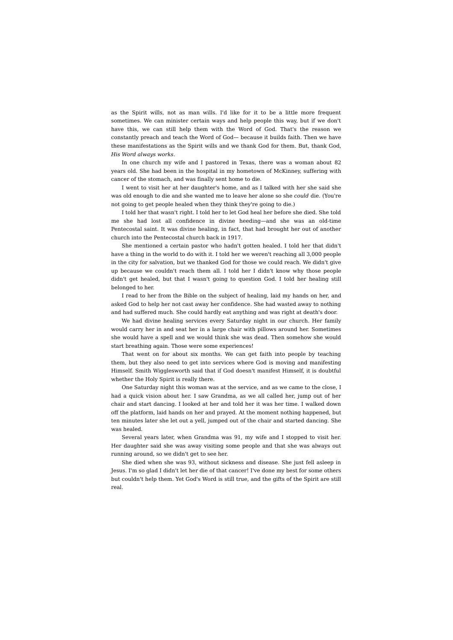as the Spirit wills, not as man wills. I'd like for it to be a little more frequent sometimes. We can minister certain ways and help people this way, but if we don't have this, we can still help them with the Word of God. That's the reason we constantly preach and teach the Word of God— because it builds faith. Then we have these manifestations as the Spirit wills and we thank God for them. But, thank God, *His Word always works.*

In one church my wife and I pastored in Texas, there was a woman about 82 years old. She had been in the hospital in my hometown of McKinney, suffering with cancer of the stomach, and was finally sent home to die.

I went to visit her at her daughter's home, and as I talked with her she said she was old enough to die and she wanted me to leave her alone so she *could* die. (You're not going to get people healed when they think they're going to die.)

I told her that wasn't right. I told her to let God heal her before she died. She told me she had lost all confidence in divine heeding—and she was an old-time Pentecostal saint. It was divine healing, in fact, that had brought her out of another church into the Pentecostal church back in 1917.

She mentioned a certain pastor who hadn't gotten healed. I told her that didn't have a thing in the world to do with it. I told her we weren't reaching all 3,000 people in the city for salvation, but we thanked God for those we could reach. We didn't give up because we couldn't reach them all. I told her I didn't know why those people didn't get healed, but that I wasn't going to question God. I told her healing still belonged to her.

I read to her from the Bible on the subject of healing, laid my hands on her, and asked God to help her not cast away her confidence. She had wasted away to nothing and had suffered much. She could hardly eat anything and was right at death's door.

We had divine healing services every Saturday night in our church. Her family would carry her in and seat her in a large chair with pillows around her. Sometimes she would have a spell and we would think she was dead. Then somehow she would start breathing again. Those were some experiences!

That went on for about six months. We can get faith into people by teaching them, but they also need to get into services where God is moving and manifesting Himself. Smith Wigglesworth said that if God doesn't manifest Himself, it is doubtful whether the Holy Spirit is really there.

One Saturday night this woman was at the service, and as we came to the close, I had a quick vision about her. I saw Grandma, as we all called her, jump out of her chair and start dancing. I looked at her and told her it was her time. I walked down off the platform, laid hands on her and prayed. At the moment nothing happened, but ten minutes later she let out a yell, jumped out of the chair and started dancing. She was healed.

Several years later, when Grandma was 91, my wife and I stopped to visit her. Her daughter said she was away visiting some people and that she was always out running around, so we didn't get to see her.

She died when she was 93, without sickness and disease. She just fell asleep in Jesus. I'm so glad I didn't let her die of that cancer! I've done my best for some others but couldn't help them. Yet God's Word is still true, and the gifts of the Spirit are still real.